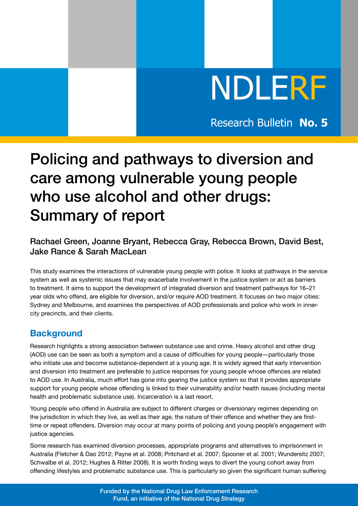# NDLERF

Research Bulletin **No. 5**

# Policing and pathways to diversion and care among vulnerable young people who use alcohol and other drugs: Summary of report

# Rachael Green, Joanne Bryant, Rebecca Gray, Rebecca Brown, David Best, Jake Rance & Sarah MacLean

This study examines the interactions of vulnerable young people with police. It looks at pathways in the service system as well as systemic issues that may exacerbate involvement in the justice system or act as barriers to treatment. It aims to support the development of integrated diversion and treatment pathways for 16–21 year olds who offend, are eligible for diversion, and/or require AOD treatment. It focuses on two major cities: Sydney and Melbourne, and examines the perspectives of AOD professionals and police who work in innercity precincts, and their clients.

# **Background**

Research highlights a strong association between substance use and crime. Heavy alcohol and other drug (AOD) use can be seen as both a symptom and a cause of difficulties for young people—particularly those who initiate use and become substance-dependent at a young age. It is widely agreed that early intervention and diversion into treatment are preferable to justice responses for young people whose offences are related to AOD use. In Australia, much effort has gone into gearing the justice system so that it provides appropriate support for young people whose offending is linked to their vulnerability and/or health issues (including mental health and problematic substance use). Incarceration is a last resort.

Young people who offend in Australia are subject to different charges or diversionary regimes depending on the jurisdiction in which they live, as well as their age, the nature of their offence and whether they are firsttime or repeat offenders. Diversion may occur at many points of policing and young people's engagement with justice agencies.

Some research has examined diversion processes, appropriate programs and alternatives to imprisonment in Australia (Fletcher & Dao 2012; Payne et al. 2008; Pritchard et al. 2007; Spooner et al. 2001; Wundersitz 2007; Schwalbe et al. 2012; Hughes & Ritter 2008). It is worth finding ways to divert the young cohort away from offending lifestyles and problematic substance use. This is particularly so given the significant human suffering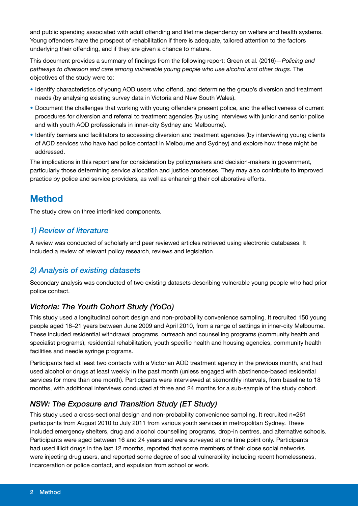and public spending associated with adult offending and lifetime dependency on welfare and health systems. Young offenders have the prospect of rehabilitation if there is adequate, tailored attention to the factors underlying their offending, and if they are given a chance to mature.

This document provides a summary of findings from the following report: Green et al. (2016)—*Policing and pathways to diversion and care among vulnerable young people who use alcohol and other drugs*. The objectives of the study were to:

- Identify characteristics of young AOD users who offend, and determine the group's diversion and treatment needs (by analysing existing survey data in Victoria and New South Wales).
- Document the challenges that working with young offenders present police, and the effectiveness of current procedures for diversion and referral to treatment agencies (by using interviews with junior and senior police and with youth AOD professionals in inner-city Sydney and Melbourne).
- Identify barriers and facilitators to accessing diversion and treatment agencies (by interviewing young clients of AOD services who have had police contact in Melbourne and Sydney) and explore how these might be addressed.

The implications in this report are for consideration by policymakers and decision-makers in government, particularly those determining service allocation and justice processes. They may also contribute to improved practice by police and service providers, as well as enhancing their collaborative efforts.

# **Method**

The study drew on three interlinked components.

# *1) Review of literature*

A review was conducted of scholarly and peer reviewed articles retrieved using electronic databases. It included a review of relevant policy research, reviews and legislation.

# *2) Analysis of existing datasets*

Secondary analysis was conducted of two existing datasets describing vulnerable young people who had prior police contact.

# *Victoria: The Youth Cohort Study (YoCo)*

This study used a longitudinal cohort design and non-probability convenience sampling. It recruited 150 young people aged 16–21 years between June 2009 and April 2010, from a range of settings in inner-city Melbourne. These included residential withdrawal programs, outreach and counselling programs (community health and specialist programs), residential rehabilitation, youth specific health and housing agencies, community health facilities and needle syringe programs.

Participants had at least two contacts with a Victorian AOD treatment agency in the previous month, and had used alcohol or drugs at least weekly in the past month (unless engaged with abstinence-based residential services for more than one month). Participants were interviewed at sixmonthly intervals, from baseline to 18 months, with additional interviews conducted at three and 24 months for a sub-sample of the study cohort.

# *NSW: The Exposure and Transition Study (ET Study)*

This study used a cross-sectional design and non-probability convenience sampling. It recruited n=261 participants from August 2010 to July 2011 from various youth services in metropolitan Sydney. These included emergency shelters, drug and alcohol counselling programs, drop-in centres, and alternative schools. Participants were aged between 16 and 24 years and were surveyed at one time point only. Participants had used illicit drugs in the last 12 months, reported that some members of their close social networks were injecting drug users, and reported some degree of social vulnerability including recent homelessness, incarceration or police contact, and expulsion from school or work.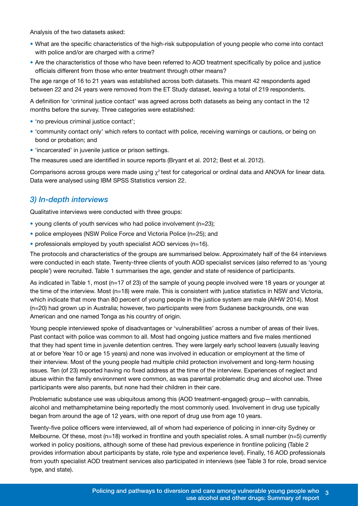Analysis of the two datasets asked:

- What are the specific characteristics of the high-risk subpopulation of young people who come into contact with police and/or are charged with a crime?
- Are the characteristics of those who have been referred to AOD treatment specifically by police and justice officials different from those who enter treatment through other means?

The age range of 16 to 21 years was established across both datasets. This meant 42 respondents aged between 22 and 24 years were removed from the ET Study dataset, leaving a total of 219 respondents.

A definition for 'criminal justice contact' was agreed across both datasets as being any contact in the 12 months before the survey. Three categories were established:

- 'no previous criminal justice contact';
- 'community contact only' which refers to contact with police, receiving warnings or cautions, or being on bond or probation; and
- 'incarcerated' in juvenile justice or prison settings.

The measures used are identified in source reports (Bryant et al. 2012; Best et al. 2012).

Comparisons across groups were made using  $\chi^2$  test for categorical or ordinal data and ANOVA for linear data. Data were analysed using IBM SPSS Statistics version 22.

#### *3) In-depth interviews*

Qualitative interviews were conducted with three groups:

- young clients of youth services who had police involvement (n=23);
- police employees (NSW Police Force and Victoria Police (n=25); and
- professionals employed by youth specialist AOD services (n=16).

The protocols and characteristics of the groups are summarised below. Approximately half of the 64 interviews were conducted in each state. Twenty-three clients of youth AOD specialist services (also referred to as 'young people') were recruited. Table 1 summarises the age, gender and state of residence of participants.

As indicated in Table 1, most (n=17 of 23) of the sample of young people involved were 18 years or younger at the time of the interview. Most (n=18) were male. This is consistent with justice statistics in NSW and Victoria, which indicate that more than 80 percent of young people in the justice system are male (AIHW 2014). Most (n=20) had grown up in Australia; however, two participants were from Sudanese backgrounds, one was American and one named Tonga as his country of origin.

Young people interviewed spoke of disadvantages or 'vulnerabilities' across a number of areas of their lives. Past contact with police was common to all. Most had ongoing justice matters and five males mentioned that they had spent time in juvenile detention centres. They were largely early school leavers (usually leaving at or before Year 10 or age 15 years) and none was involved in education or employment at the time of their interview. Most of the young people had multiple child protection involvement and long-term housing issues. Ten (of 23) reported having no fixed address at the time of the interview. Experiences of neglect and abuse within the family environment were common, as was parental problematic drug and alcohol use. Three participants were also parents, but none had their children in their care.

Problematic substance use was ubiquitous among this (AOD treatment-engaged) group—with cannabis, alcohol and methamphetamine being reportedly the most commonly used. Involvement in drug use typically began from around the age of 12 years, with one report of drug use from age 10 years.

Twenty-five police officers were interviewed, all of whom had experience of policing in inner-city Sydney or Melbourne. Of these, most (n=18) worked in frontline and youth specialist roles. A small number (n=5) currently worked in policy positions, although some of these had previous experience in frontline policing (Table 2 provides information about participants by state, role type and experience level). Finally, 16 AOD professionals from youth specialist AOD treatment services also participated in interviews (see Table 3 for role, broad service type, and state).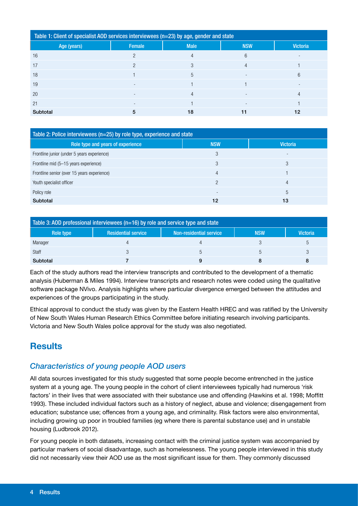| Table 1: Client of specialist AOD services interviewees (n=23) by age, gender and state |                          |                |                          |                 |  |  |  |
|-----------------------------------------------------------------------------------------|--------------------------|----------------|--------------------------|-----------------|--|--|--|
| Age (years)                                                                             | Female                   | <b>Male</b>    | <b>NSW</b>               | <b>Victoria</b> |  |  |  |
| 16                                                                                      | ∩                        | 4              | 6                        |                 |  |  |  |
| 17                                                                                      |                          | 3              |                          |                 |  |  |  |
| 18                                                                                      |                          | 5              | $\overline{a}$           | 6               |  |  |  |
| 19                                                                                      | $\overline{\phantom{a}}$ |                |                          |                 |  |  |  |
| 20                                                                                      | $\overline{\phantom{a}}$ | $\overline{4}$ | $\overline{\phantom{a}}$ | 4               |  |  |  |
| 21                                                                                      |                          |                |                          |                 |  |  |  |
| Subtotal                                                                                | 5                        | 18             | 11                       | 12              |  |  |  |

| Table 2: Police interviewees (n=25) by role type, experience and state |            |                          |  |  |  |  |
|------------------------------------------------------------------------|------------|--------------------------|--|--|--|--|
| Role type and years of experience                                      | <b>NSW</b> | <b>Victoria</b>          |  |  |  |  |
| Frontline junior (under 5 years experience)                            | 3          | $\overline{\phantom{0}}$ |  |  |  |  |
| Frontline mid (5–15 years experience)                                  | 3          | 3                        |  |  |  |  |
| Frontline senior (over 15 years experience)                            | 4          |                          |  |  |  |  |
| Youth specialist officer                                               | റ          | 4                        |  |  |  |  |
| Policy role                                                            |            | 5                        |  |  |  |  |
| Subtotal                                                               | 12         | 13                       |  |  |  |  |

| Table 3: AOD professional interviewees ( $n=16$ ) by role and service type and state |                            |                         |            |                 |  |  |  |
|--------------------------------------------------------------------------------------|----------------------------|-------------------------|------------|-----------------|--|--|--|
| Role type                                                                            | <b>Residential service</b> | Non-residential service | <b>NSW</b> | <b>Victoria</b> |  |  |  |
| Manager                                                                              |                            |                         |            | b               |  |  |  |
| Staff                                                                                |                            |                         |            |                 |  |  |  |
| Subtotal                                                                             |                            |                         |            |                 |  |  |  |

Each of the study authors read the interview transcripts and contributed to the development of a thematic analysis (Huberman & Miles 1994). Interview transcripts and research notes were coded using the qualitative software package NVivo. Analysis highlights where particular divergence emerged between the attitudes and experiences of the groups participating in the study.

Ethical approval to conduct the study was given by the Eastern Health HREC and was ratified by the University of New South Wales Human Research Ethics Committee before initiating research involving participants. Victoria and New South Wales police approval for the study was also negotiated.

# **Results**

# *Characteristics of young people AOD users*

All data sources investigated for this study suggested that some people become entrenched in the justice system at a young age. The young people in the cohort of client interviewees typically had numerous 'risk factors' in their lives that were associated with their substance use and offending (Hawkins et al. 1998; Moffitt 1993). These included individual factors such as a history of neglect, abuse and violence; disengagement from education; substance use; offences from a young age, and criminality. Risk factors were also environmental, including growing up poor in troubled families (eg where there is parental substance use) and in unstable housing (Ludbrook 2012).

For young people in both datasets, increasing contact with the criminal justice system was accompanied by particular markers of social disadvantage, such as homelessness. The young people interviewed in this study did not necessarily view their AOD use as the most significant issue for them. They commonly discussed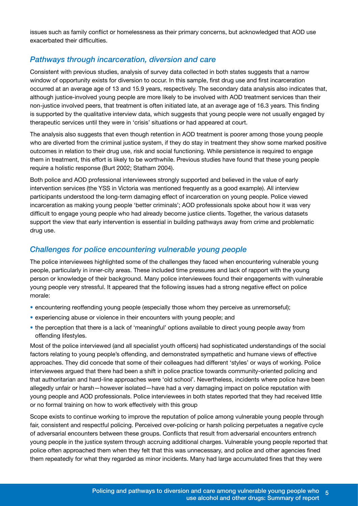issues such as family conflict or homelessness as their primary concerns, but acknowledged that AOD use exacerbated their difficulties.

#### *Pathways through incarceration, diversion and care*

Consistent with previous studies, analysis of survey data collected in both states suggests that a narrow window of opportunity exists for diversion to occur. In this sample, first drug use and first incarceration occurred at an average age of 13 and 15.9 years, respectively. The secondary data analysis also indicates that, although justice-involved young people are more likely to be involved with AOD treatment services than their non-justice involved peers, that treatment is often initiated late, at an average age of 16.3 years. This finding is supported by the qualitative interview data, which suggests that young people were not usually engaged by therapeutic services until they were in 'crisis' situations or had appeared at court.

The analysis also suggests that even though retention in AOD treatment is poorer among those young people who are diverted from the criminal justice system, if they do stay in treatment they show some marked positive outcomes in relation to their drug use, risk and social functioning. While persistence is required to engage them in treatment, this effort is likely to be worthwhile. Previous studies have found that these young people require a holistic response (Burt 2002; Statham 2004).

Both police and AOD professional interviewees strongly supported and believed in the value of early intervention services (the YSS in Victoria was mentioned frequently as a good example). All interview participants understood the long-term damaging effect of incarceration on young people. Police viewed incarceration as making young people 'better criminals'; AOD professionals spoke about how it was very difficult to engage young people who had already become justice clients. Together, the various datasets support the view that early intervention is essential in building pathways away from crime and problematic drug use.

#### *Challenges for police encountering vulnerable young people*

The police interviewees highlighted some of the challenges they faced when encountering vulnerable young people, particularly in inner-city areas. These included time pressures and lack of rapport with the young person or knowledge of their background. Many police interviewees found their engagements with vulnerable young people very stressful. It appeared that the following issues had a strong negative effect on police morale:

- encountering reoffending young people (especially those whom they perceive as unremorseful);
- experiencing abuse or violence in their encounters with young people; and
- the perception that there is a lack of 'meaningful' options available to direct young people away from offending lifestyles.

Most of the police interviewed (and all specialist youth officers) had sophisticated understandings of the social factors relating to young people's offending, and demonstrated sympathetic and humane views of effective approaches. They did concede that some of their colleagues had different 'styles' or ways of working. Police interviewees argued that there had been a shift in police practice towards community-oriented policing and that authoritarian and hard-line approaches were 'old school'. Nevertheless, incidents where police have been allegedly unfair or harsh—however isolated—have had a very damaging impact on police reputation with young people and AOD professionals. Police interviewees in both states reported that they had received little or no formal training on how to work effectively with this group

Scope exists to continue working to improve the reputation of police among vulnerable young people through fair, consistent and respectful policing. Perceived over-policing or harsh policing perpetuates a negative cycle of adversarial encounters between these groups. Conflicts that result from adversarial encounters entrench young people in the justice system through accruing additional charges. Vulnerable young people reported that police often approached them when they felt that this was unnecessary, and police and other agencies fined them repeatedly for what they regarded as minor incidents. Many had large accumulated fines that they were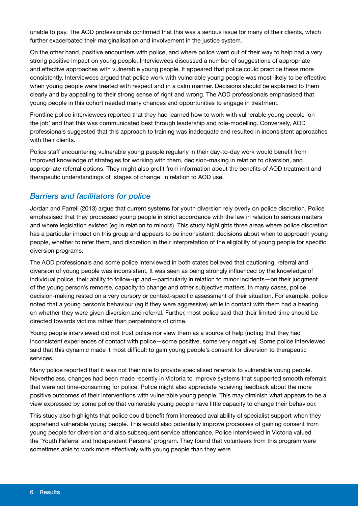unable to pay. The AOD professionals confirmed that this was a serious issue for many of their clients, which further exacerbated their marginalisation and involvement in the justice system.

On the other hand, positive encounters with police, and where police went out of their way to help had a very strong positive impact on young people. Interviewees discussed a number of suggestions of appropriate and effective approaches with vulnerable young people. It appeared that police could practice these more consistently. Interviewees argued that police work with vulnerable young people was most likely to be effective when young people were treated with respect and in a calm manner. Decisions should be explained to them clearly and by appealing to their strong sense of right and wrong. The AOD professionals emphasised that young people in this cohort needed many chances and opportunities to engage in treatment.

Frontline police interviewees reported that they had learned how to work with vulnerable young people 'on the job' and that this was communicated best through leadership and role-modelling. Conversely, AOD professionals suggested that this approach to training was inadequate and resulted in inconsistent approaches with their clients.

Police staff encountering vulnerable young people regularly in their day-to-day work would benefit from improved knowledge of strategies for working with them, decision-making in relation to diversion, and appropriate referral options. They might also profit from information about the benefits of AOD treatment and therapeutic understandings of 'stages of change' in relation to AOD use.

# *Barriers and facilitators for police*

Jordan and Farrell (2013) argue that current systems for youth diversion rely overly on police discretion. Police emphasised that they processed young people in strict accordance with the law in relation to serious matters and where legislation existed (eg in relation to minors). This study highlights three areas where police discretion has a particular impact on this group and appears to be inconsistent: decisions about when to approach young people, whether to refer them, and discretion in their interpretation of the eligibility of young people for specific diversion programs.

The AOD professionals and some police interviewed in both states believed that cautioning, referral and diversion of young people was inconsistent. It was seen as being strongly influenced by the knowledge of individual police, their ability to follow-up and—particularly in relation to minor incidents—on their judgment of the young person's remorse, capacity to change and other subjective matters. In many cases, police decision-making rested on a very cursory or context-specific assessment of their situation. For example, police noted that a young person's behaviour (eg if they were aggressive) while in contact with them had a bearing on whether they were given diversion and referral. Further, most police said that their limited time should be directed towards victims rather than perpetrators of crime.

Young people interviewed did not trust police nor view them as a source of help (noting that they had inconsistent experiences of contact with police—some positive, some very negative). Some police interviewed said that this dynamic made it most difficult to gain young people's consent for diversion to therapeutic services.

Many police reported that it was not their role to provide specialised referrals to vulnerable young people. Nevertheless, changes had been made recently in Victoria to improve systems that supported smooth referrals that were not time-consuming for police. Police might also appreciate receiving feedback about the more positive outcomes of their interventions with vulnerable young people. This may diminish what appears to be a view expressed by some police that vulnerable young people have little capacity to change their behaviour.

This study also highlights that police could benefit from increased availability of specialist support when they apprehend vulnerable young people. This would also potentially improve processes of gaining consent from young people for diversion and also subsequent service attendance. Police interviewed in Victoria valued the 'Youth Referral and Independent Persons' program. They found that volunteers from this program were sometimes able to work more effectively with young people than they were.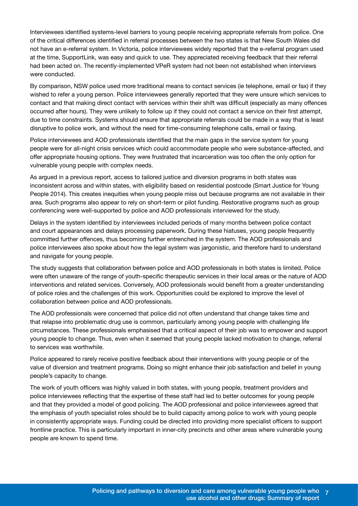Interviewees identified systems-level barriers to young people receiving appropriate referrals from police. One of the critical differences identified in referral processes between the two states is that New South Wales did not have an e-referral system. In Victoria, police interviewees widely reported that the e-referral program used at the time, SupportLink, was easy and quick to use. They appreciated receiving feedback that their referral had been acted on. The recently-implemented VPeR system had not been not established when interviews were conducted.

By comparison, NSW police used more traditional means to contact services (ie telephone, email or fax) if they wished to refer a young person. Police interviewees generally reported that they were unsure which services to contact and that making direct contact with services within their shift was difficult (especially as many offences occurred after hours). They were unlikely to follow up if they could not contact a service on their first attempt, due to time constraints. Systems should ensure that appropriate referrals could be made in a way that is least disruptive to police work, and without the need for time-consuming telephone calls, email or faxing.

Police interviewees and AOD professionals identified that the main gaps in the service system for young people were for all-night crisis services which could accommodate people who were substance-affected, and offer appropriate housing options. They were frustrated that incarceration was too often the only option for vulnerable young people with complex needs.

As argued in a previous report, access to tailored justice and diversion programs in both states was inconsistent across and within states, with eligibility based on residential postcode (Smart Justice for Young People 2014). This creates inequities when young people miss out because programs are not available in their area. Such programs also appear to rely on short-term or pilot funding. Restorative programs such as group conferencing were well-supported by police and AOD professionals interviewed for the study.

Delays in the system identified by interviewees included periods of many months between police contact and court appearances and delays processing paperwork. During these hiatuses, young people frequently committed further offences, thus becoming further entrenched in the system. The AOD professionals and police interviewees also spoke about how the legal system was jargonistic, and therefore hard to understand and navigate for young people.

The study suggests that collaboration between police and AOD professionals in both states is limited. Police were often unaware of the range of youth-specific therapeutic services in their local areas or the nature of AOD interventions and related services. Conversely, AOD professionals would benefit from a greater understanding of police roles and the challenges of this work. Opportunities could be explored to improve the level of collaboration between police and AOD professionals.

The AOD professionals were concerned that police did not often understand that change takes time and that relapse into problematic drug use is common, particularly among young people with challenging life circumstances. These professionals emphasised that a critical aspect of their job was to empower and support young people to change. Thus, even when it seemed that young people lacked motivation to change, referral to services was worthwhile.

Police appeared to rarely receive positive feedback about their interventions with young people or of the value of diversion and treatment programs. Doing so might enhance their job satisfaction and belief in young people's capacity to change.

The work of youth officers was highly valued in both states, with young people, treatment providers and police interviewees reflecting that the expertise of these staff had led to better outcomes for young people and that they provided a model of good policing. The AOD professional and police interviewees agreed that the emphasis of youth specialist roles should be to build capacity among police to work with young people in consistently appropriate ways. Funding could be directed into providing more specialist officers to support frontline practice. This is particularly important in inner-city precincts and other areas where vulnerable young people are known to spend time.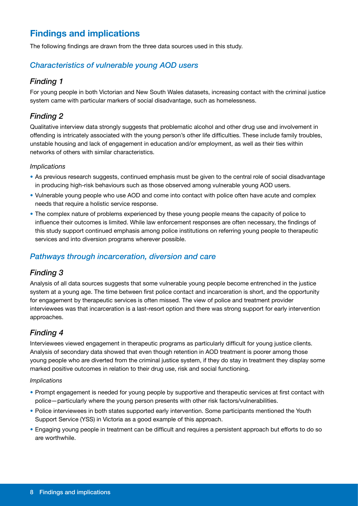# **Findings and implications**

The following findings are drawn from the three data sources used in this study.

#### *Characteristics of vulnerable young AOD users*

#### *Finding 1*

For young people in both Victorian and New South Wales datasets, increasing contact with the criminal justice system came with particular markers of social disadvantage, such as homelessness.

#### *Finding 2*

Qualitative interview data strongly suggests that problematic alcohol and other drug use and involvement in offending is intricately associated with the young person's other life difficulties. These include family troubles, unstable housing and lack of engagement in education and/or employment, as well as their ties within networks of others with similar characteristics.

#### *Implications*

- As previous research suggests, continued emphasis must be given to the central role of social disadvantage in producing high-risk behaviours such as those observed among vulnerable young AOD users.
- Vulnerable young people who use AOD and come into contact with police often have acute and complex needs that require a holistic service response.
- The complex nature of problems experienced by these young people means the capacity of police to influence their outcomes is limited. While law enforcement responses are often necessary, the findings of this study support continued emphasis among police institutions on referring young people to therapeutic services and into diversion programs wherever possible.

#### *Pathways through incarceration, diversion and care*

#### *Finding 3*

Analysis of all data sources suggests that some vulnerable young people become entrenched in the justice system at a young age. The time between first police contact and incarceration is short, and the opportunity for engagement by therapeutic services is often missed. The view of police and treatment provider interviewees was that incarceration is a last-resort option and there was strong support for early intervention approaches.

#### *Finding 4*

Interviewees viewed engagement in therapeutic programs as particularly difficult for young justice clients. Analysis of secondary data showed that even though retention in AOD treatment is poorer among those young people who are diverted from the criminal justice system, if they do stay in treatment they display some marked positive outcomes in relation to their drug use, risk and social functioning.

#### *Implications*

- Prompt engagement is needed for young people by supportive and therapeutic services at first contact with police—particularly where the young person presents with other risk factors/vulnerabilities.
- Police interviewees in both states supported early intervention. Some participants mentioned the Youth Support Service (YSS) in Victoria as a good example of this approach.
- Engaging young people in treatment can be difficult and requires a persistent approach but efforts to do so are worthwhile.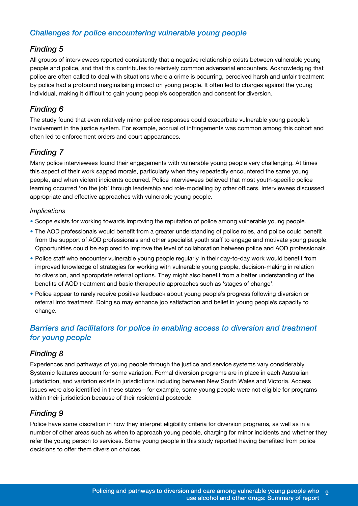# *Challenges for police encountering vulnerable young people*

# *Finding 5*

All groups of interviewees reported consistently that a negative relationship exists between vulnerable young people and police, and that this contributes to relatively common adversarial encounters. Acknowledging that police are often called to deal with situations where a crime is occurring, perceived harsh and unfair treatment by police had a profound marginalising impact on young people. It often led to charges against the young individual, making it difficult to gain young people's cooperation and consent for diversion.

# *Finding 6*

The study found that even relatively minor police responses could exacerbate vulnerable young people's involvement in the justice system. For example, accrual of infringements was common among this cohort and often led to enforcement orders and court appearances.

# *Finding 7*

Many police interviewees found their engagements with vulnerable young people very challenging. At times this aspect of their work sapped morale, particularly when they repeatedly encountered the same young people, and when violent incidents occurred. Police interviewees believed that most youth-specific police learning occurred 'on the job' through leadership and role-modelling by other officers. Interviewees discussed appropriate and effective approaches with vulnerable young people.

#### *Implications*

- Scope exists for working towards improving the reputation of police among vulnerable young people.
- The AOD professionals would benefit from a greater understanding of police roles, and police could benefit from the support of AOD professionals and other specialist youth staff to engage and motivate young people. Opportunities could be explored to improve the level of collaboration between police and AOD professionals.
- Police staff who encounter vulnerable young people regularly in their day-to-day work would benefit from improved knowledge of strategies for working with vulnerable young people, decision-making in relation to diversion, and appropriate referral options. They might also benefit from a better understanding of the benefits of AOD treatment and basic therapeutic approaches such as 'stages of change'.
- Police appear to rarely receive positive feedback about young people's progress following diversion or referral into treatment. Doing so may enhance job satisfaction and belief in young people's capacity to change.

# *Barriers and facilitators for police in enabling access to diversion and treatment for young people*

#### *Finding 8*

Experiences and pathways of young people through the justice and service systems vary considerably. Systemic features account for some variation. Formal diversion programs are in place in each Australian jurisdiction, and variation exists in jurisdictions including between New South Wales and Victoria. Access issues were also identified in these states—for example, some young people were not eligible for programs within their jurisdiction because of their residential postcode.

# *Finding 9*

Police have some discretion in how they interpret eligibility criteria for diversion programs, as well as in a number of other areas such as when to approach young people, charging for minor incidents and whether they refer the young person to services. Some young people in this study reported having benefited from police decisions to offer them diversion choices.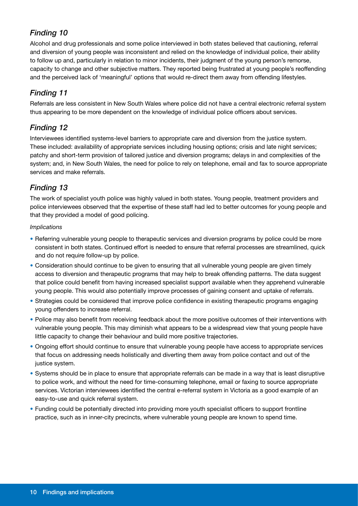# *Finding 10*

Alcohol and drug professionals and some police interviewed in both states believed that cautioning, referral and diversion of young people was inconsistent and relied on the knowledge of individual police, their ability to follow up and, particularly in relation to minor incidents, their judgment of the young person's remorse, capacity to change and other subjective matters. They reported being frustrated at young people's reoffending and the perceived lack of 'meaningful' options that would re-direct them away from offending lifestyles.

# *Finding 11*

Referrals are less consistent in New South Wales where police did not have a central electronic referral system thus appearing to be more dependent on the knowledge of individual police officers about services.

# *Finding 12*

Interviewees identified systems-level barriers to appropriate care and diversion from the justice system. These included: availability of appropriate services including housing options; crisis and late night services; patchy and short-term provision of tailored justice and diversion programs; delays in and complexities of the system; and, in New South Wales, the need for police to rely on telephone, email and fax to source appropriate services and make referrals.

# *Finding 13*

The work of specialist youth police was highly valued in both states. Young people, treatment providers and police interviewees observed that the expertise of these staff had led to better outcomes for young people and that they provided a model of good policing.

#### *Implications*

- Referring vulnerable young people to therapeutic services and diversion programs by police could be more consistent in both states. Continued effort is needed to ensure that referral processes are streamlined, quick and do not require follow-up by police.
- Consideration should continue to be given to ensuring that all vulnerable young people are given timely access to diversion and therapeutic programs that may help to break offending patterns. The data suggest that police could benefit from having increased specialist support available when they apprehend vulnerable young people. This would also potentially improve processes of gaining consent and uptake of referrals.
- Strategies could be considered that improve police confidence in existing therapeutic programs engaging young offenders to increase referral.
- Police may also benefit from receiving feedback about the more positive outcomes of their interventions with vulnerable young people. This may diminish what appears to be a widespread view that young people have little capacity to change their behaviour and build more positive trajectories.
- Ongoing effort should continue to ensure that vulnerable young people have access to appropriate services that focus on addressing needs holistically and diverting them away from police contact and out of the justice system.
- Systems should be in place to ensure that appropriate referrals can be made in a way that is least disruptive to police work, and without the need for time-consuming telephone, email or faxing to source appropriate services. Victorian interviewees identified the central e-referral system in Victoria as a good example of an easy-to-use and quick referral system.
- Funding could be potentially directed into providing more youth specialist officers to support frontline practice, such as in inner-city precincts, where vulnerable young people are known to spend time.